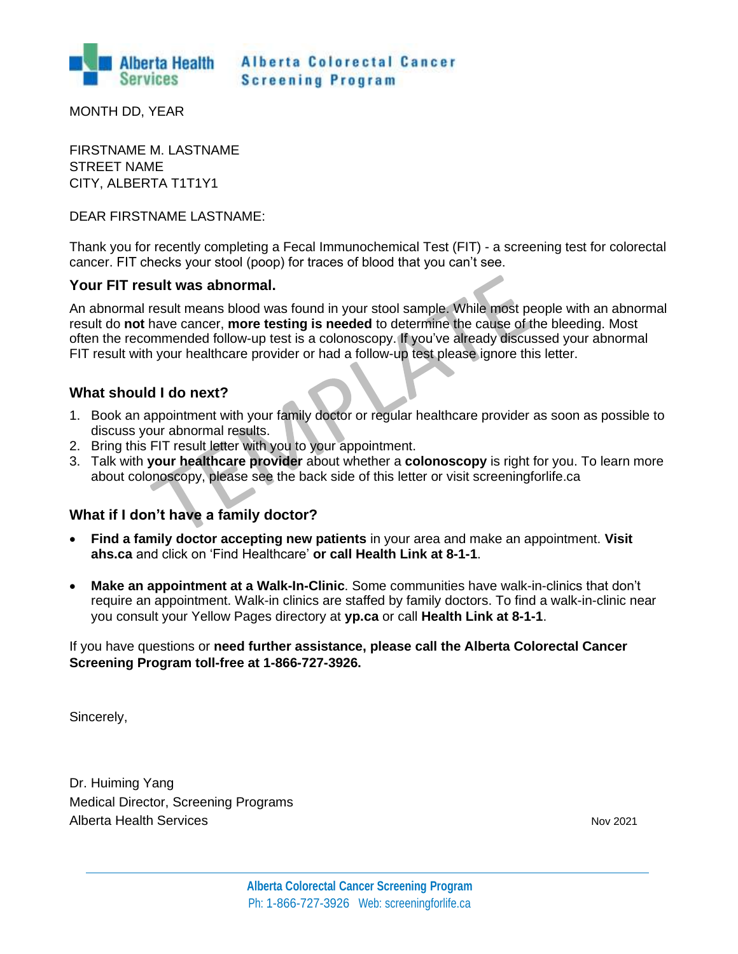

**Alberta Colorectal Cancer Screening Program** 

MONTH DD, YEAR

FIRSTNAME M. LASTNAME STREET NAME CITY, ALBERTA T1T1Y1

## DEAR FIRSTNAME LASTNAME:

Thank you for recently completing a Fecal Immunochemical Test (FIT) - a screening test for colorectal cancer. FIT checks your stool (poop) for traces of blood that you can't see.

# **Your FIT result was abnormal.**

An abnormal result means blood was found in your stool sample. While most people with an abnormal result do **not** have cancer, **more testing is needed** to determine the cause of the bleeding. Most often the recommended follow-up test is a colonoscopy. If you've already discussed your abnormal FIT result with your healthcare provider or had a follow-up test please ignore this letter.

# **What should I do next?**

- 1. Book an appointment with your family doctor or regular healthcare provider as soon as possible to discuss your abnormal results.
- 2. Bring this FIT result letter with you to your appointment.
- 3. Talk with **your healthcare provider** about whether a **colonoscopy** is right for you. To learn more about colonoscopy, please see the back side of this letter or visit screeningforlife.ca

# **What if I don't have a family doctor?**

- **Find a family doctor accepting new patients** in your area and make an appointment. **Visit ahs.ca** and click on 'Find Healthcare' **or call Health Link at 8-1-1**.
- **Make an appointment at a Walk-In-Clinic**. Some communities have walk-in-clinics that don't require an appointment. Walk-in clinics are staffed by family doctors. To find a walk-in-clinic near you consult your Yellow Pages directory at **yp.ca** or call **Health Link at 8-1-1**.

# If you have questions or **need further assistance, please call the Alberta Colorectal Cancer Screening Program toll-free at 1-866-727-3926.**

Sincerely,

Dr. Huiming Yang Medical Director, Screening Programs Alberta Health Services **November 2021** Nov 2021